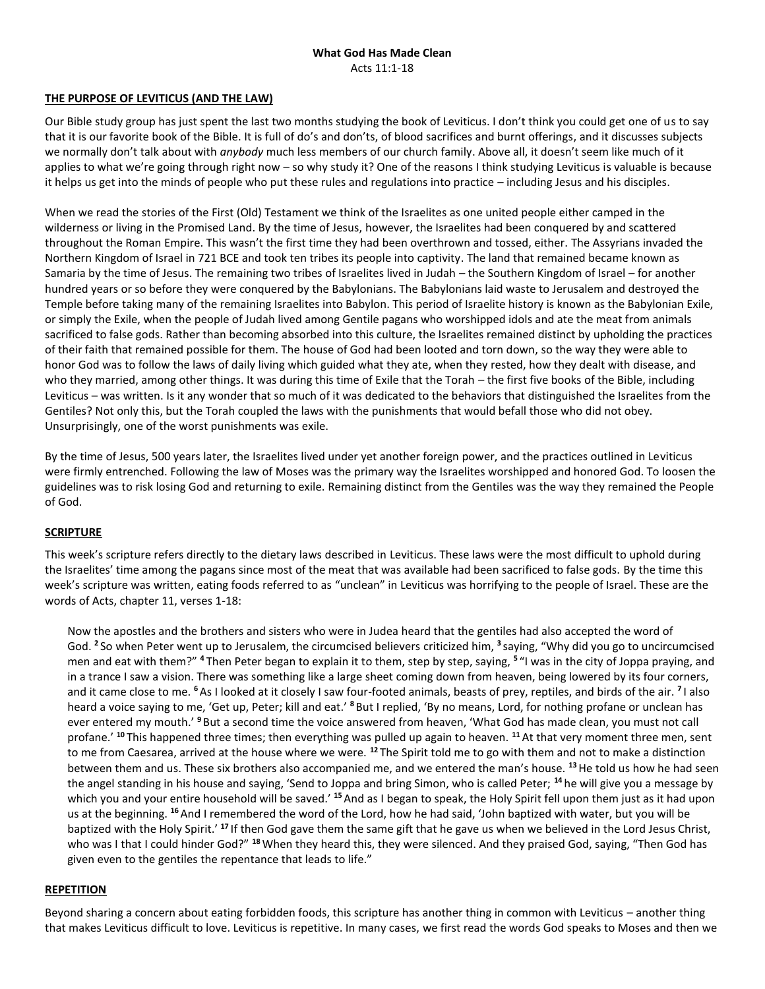#### **What God Has Made Clean** Acts 11:1-18

### **THE PURPOSE OF LEVITICUS (AND THE LAW)**

Our Bible study group has just spent the last two months studying the book of Leviticus. I don't think you could get one of us to say that it is our favorite book of the Bible. It is full of do's and don'ts, of blood sacrifices and burnt offerings, and it discusses subjects we normally don't talk about with *anybody* much less members of our church family. Above all, it doesn't seem like much of it applies to what we're going through right now – so why study it? One of the reasons I think studying Leviticus is valuable is because it helps us get into the minds of people who put these rules and regulations into practice – including Jesus and his disciples.

When we read the stories of the First (Old) Testament we think of the Israelites as one united people either camped in the wilderness or living in the Promised Land. By the time of Jesus, however, the Israelites had been conquered by and scattered throughout the Roman Empire. This wasn't the first time they had been overthrown and tossed, either. The Assyrians invaded the Northern Kingdom of Israel in 721 BCE and took ten tribes its people into captivity. The land that remained became known as Samaria by the time of Jesus. The remaining two tribes of Israelites lived in Judah – the Southern Kingdom of Israel – for another hundred years or so before they were conquered by the Babylonians. The Babylonians laid waste to Jerusalem and destroyed the Temple before taking many of the remaining Israelites into Babylon. This period of Israelite history is known as the Babylonian Exile, or simply the Exile, when the people of Judah lived among Gentile pagans who worshipped idols and ate the meat from animals sacrificed to false gods. Rather than becoming absorbed into this culture, the Israelites remained distinct by upholding the practices of their faith that remained possible for them. The house of God had been looted and torn down, so the way they were able to honor God was to follow the laws of daily living which guided what they ate, when they rested, how they dealt with disease, and who they married, among other things. It was during this time of Exile that the Torah – the first five books of the Bible, including Leviticus – was written. Is it any wonder that so much of it was dedicated to the behaviors that distinguished the Israelites from the Gentiles? Not only this, but the Torah coupled the laws with the punishments that would befall those who did not obey. Unsurprisingly, one of the worst punishments was exile.

By the time of Jesus, 500 years later, the Israelites lived under yet another foreign power, and the practices outlined in Leviticus were firmly entrenched. Following the law of Moses was the primary way the Israelites worshipped and honored God. To loosen the guidelines was to risk losing God and returning to exile. Remaining distinct from the Gentiles was the way they remained the People of God.

# **SCRIPTURE**

This week's scripture refers directly to the dietary laws described in Leviticus. These laws were the most difficult to uphold during the Israelites' time among the pagans since most of the meat that was available had been sacrificed to false gods. By the time this week's scripture was written, eating foods referred to as "unclean" in Leviticus was horrifying to the people of Israel. These are the words of Acts, chapter 11, verses 1-18:

Now the apostles and the brothers and sisters who were in Judea heard that the gentiles had also accepted the word of God. **<sup>2</sup>** So when Peter went up to Jerusalem, the circumcised believers criticized him, **<sup>3</sup>** saying, "Why did you go to uncircumcised men and eat with them?" **<sup>4</sup>** Then Peter began to explain it to them, step by step, saying, **<sup>5</sup>** "I was in the city of Joppa praying, and in a trance I saw a vision. There was something like a large sheet coming down from heaven, being lowered by its four corners, and it came close to me. **<sup>6</sup>**As I looked at it closely I saw four-footed animals, beasts of prey, reptiles, and birds of the air. **<sup>7</sup>** I also heard a voice saying to me, 'Get up, Peter; kill and eat.' **<sup>8</sup>** But I replied, 'By no means, Lord, for nothing profane or unclean has ever entered my mouth.' **<sup>9</sup>** But a second time the voice answered from heaven, 'What God has made clean, you must not call profane.' **<sup>10</sup>** This happened three times; then everything was pulled up again to heaven. **<sup>11</sup>** At that very moment three men, sent to me from Caesarea, arrived at the house where we were. **<sup>12</sup>** The Spirit told me to go with them and not to make a distinction between them and us. These six brothers also accompanied me, and we entered the man's house. **<sup>13</sup>**He told us how he had seen the angel standing in his house and saying, 'Send to Joppa and bring Simon, who is called Peter; **<sup>14</sup>** he will give you a message by which you and your entire household will be saved.' **<sup>15</sup>**And as I began to speak, the Holy Spirit fell upon them just as it had upon us at the beginning. **<sup>16</sup>**And I remembered the word of the Lord, how he had said, 'John baptized with water, but you will be baptized with the Holy Spirit.' **<sup>17</sup>** If then God gave them the same gift that he gave us when we believed in the Lord Jesus Christ, who was I that I could hinder God?" **<sup>18</sup>**When they heard this, they were silenced. And they praised God, saying, "Then God has given even to the gentiles the repentance that leads to life."

#### **REPETITION**

Beyond sharing a concern about eating forbidden foods, this scripture has another thing in common with Leviticus – another thing that makes Leviticus difficult to love. Leviticus is repetitive. In many cases, we first read the words God speaks to Moses and then we